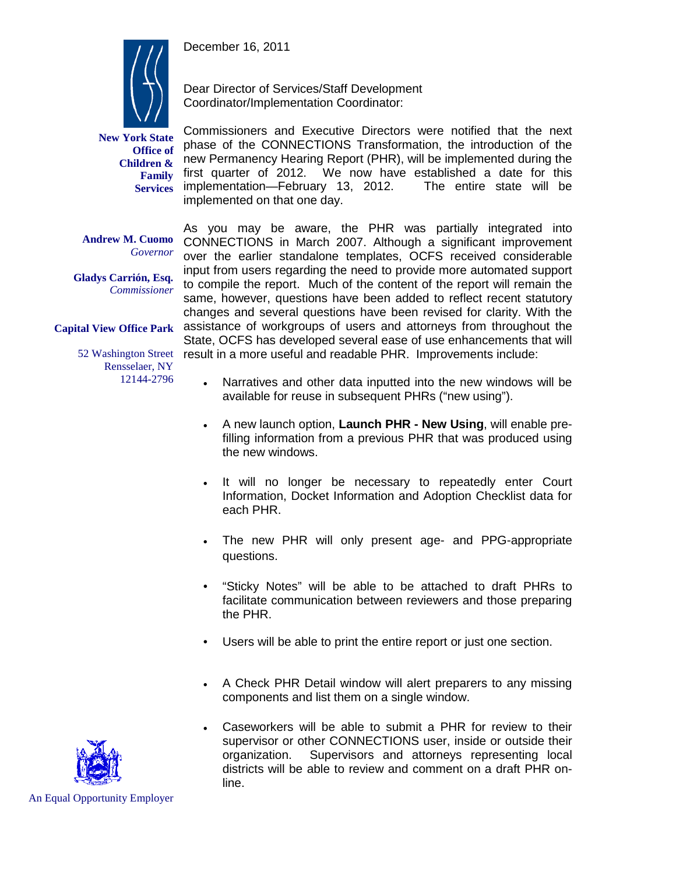December 16, 2011



**New York State Office of Children & Family Services**

Dear Director of Services/Staff Development Coordinator/Implementation Coordinator:

Commissioners and Executive Directors were notified that the next phase of the CONNECTIONS Transformation, the introduction of the new Permanency Hearing Report (PHR), will be implemented during the first quarter of 2012. We now have established a date for this implementation—February 13, 2012. The entire state will be implementation—February 13, 2012. implemented on that one day.

**Andrew M. Cuomo** *Governor*

**Gladys Carrión, Esq.** *Commissioner*

**Capital View Office Park**

Rensselaer, NY 12144-2796

As you may be aware, the PHR was partially integrated into CONNECTIONS in March 2007. Although a significant improvement over the earlier standalone templates, OCFS received considerable input from users regarding the need to provide more automated support to compile the report. Much of the content of the report will remain the same, however, questions have been added to reflect recent statutory changes and several questions have been revised for clarity. With the assistance of workgroups of users and attorneys from throughout the State, OCFS has developed several ease of use enhancements that will 52 Washington Street result in a more useful and readable PHR. Improvements include:

- Narratives and other data inputted into the new windows will be available for reuse in subsequent PHRs ("new using").
- A new launch option, **Launch PHR - New Using**, will enable prefilling information from a previous PHR that was produced using the new windows.
- It will no longer be necessary to repeatedly enter Court Information, Docket Information and Adoption Checklist data for each PHR.
- The new PHR will only present age- and PPG-appropriate questions.
- "Sticky Notes" will be able to be attached to draft PHRs to facilitate communication between reviewers and those preparing the PHR.
- Users will be able to print the entire report or just one section.
- A Check PHR Detail window will alert preparers to any missing components and list them on a single window.
- Caseworkers will be able to submit a PHR for review to their supervisor or other CONNECTIONS user, inside or outside their organization. Supervisors and attorneys representing local districts will be able to review and comment on a draft PHR online.

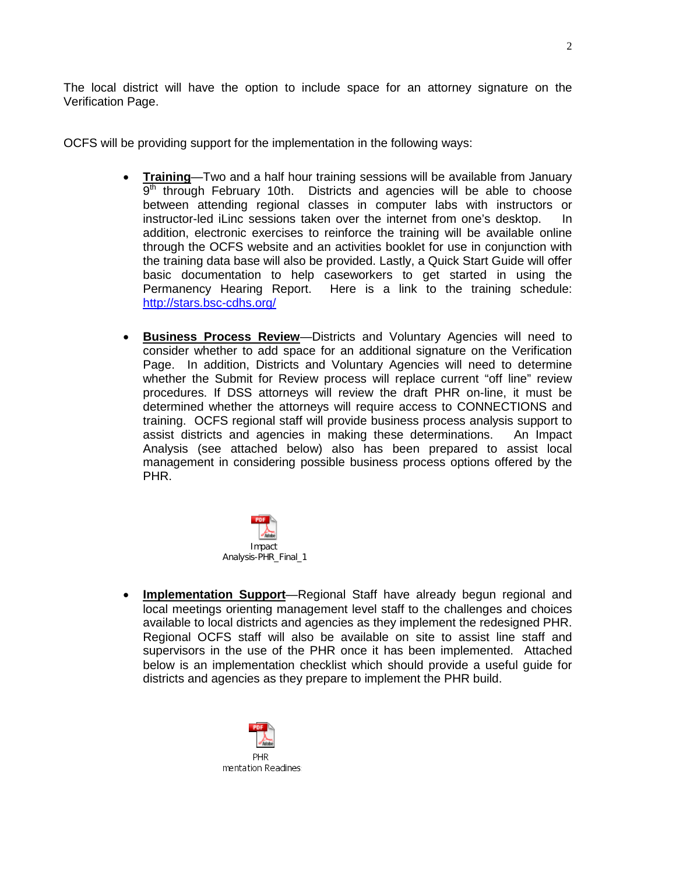The local district will have the option to include space for an attorney signature on the Verification Page.

OCFS will be providing support for the implementation in the following ways:

- **Training**—Two and a half hour training sessions will be available from January  $9<sup>th</sup>$  through February 10th. Districts and agencies will be able to choose between attending regional classes in computer labs with instructors or instructor-led iLinc sessions taken over the internet from one's desktop. In addition, electronic exercises to reinforce the training will be available online through the OCFS website and an activities booklet for use in conjunction with the training data base will also be provided. Lastly, a Quick Start Guide will offer basic documentation to help caseworkers to get started in using the Permanency Hearing Report. Here is a link to the training schedule: <http://stars.bsc-cdhs.org/>
- **Business Process Review**—Districts and Voluntary Agencies will need to consider whether to add space for an additional signature on the Verification Page. In addition, Districts and Voluntary Agencies will need to determine whether the Submit for Review process will replace current "off line" review procedures. If DSS attorneys will review the draft PHR on-line, it must be determined whether the attorneys will require access to CONNECTIONS and training. OCFS regional staff will provide business process analysis support to assist districts and agencies in making these determinations. An Impact Analysis (see attached below) also has been prepared to assist local management in considering possible business process options offered by the PHR.



• **Implementation Support**—Regional Staff have already begun regional and local meetings orienting management level staff to the challenges and choices available to local districts and agencies as they implement the redesigned PHR. Regional OCFS staff will also be available on site to assist line staff and supervisors in the use of the PHR once it has been implemented. Attached below is an implementation checklist which should provide a useful guide for districts and agencies as they prepare to implement the PHR build.